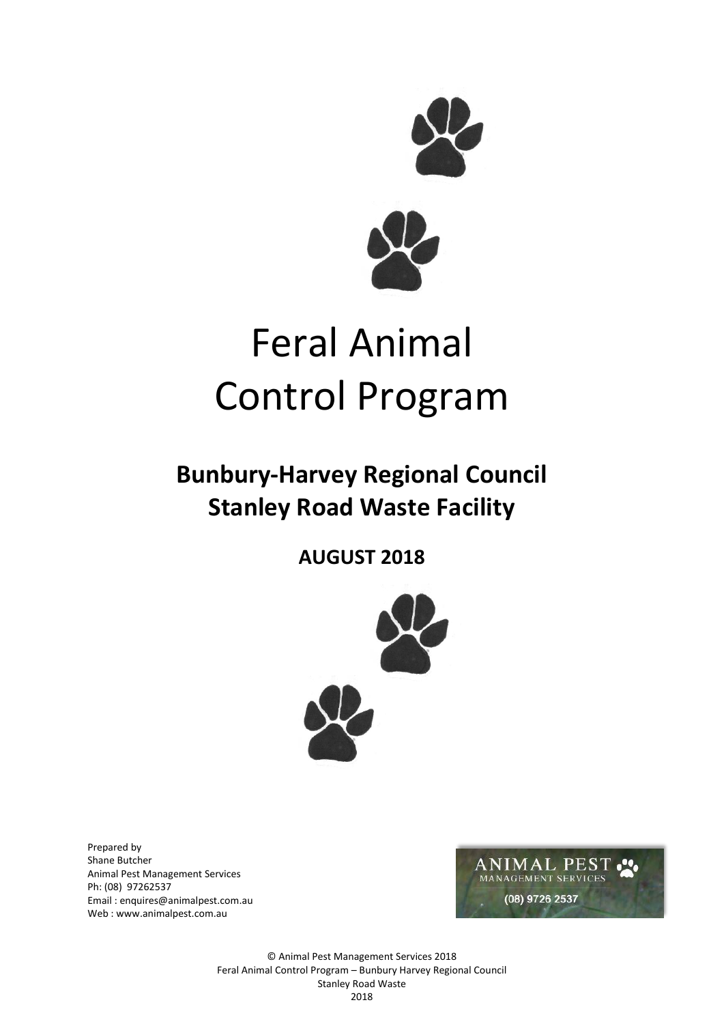

# Feral Animal Control Program

# **Bunbury-Harvey Regional Council Stanley Road Waste Facility**

**AUGUST 2018**



Prepared by Shane Butcher Animal Pest Management Services Ph: (08) 97262537 Email : enquires@animalpest.com.au Web [: www.animalpest.com.au](http://www.animalpest.com.au/)



© Animal Pest Management Services 2018 Feral Animal Control Program – Bunbury Harvey Regional Council Stanley Road Waste 2018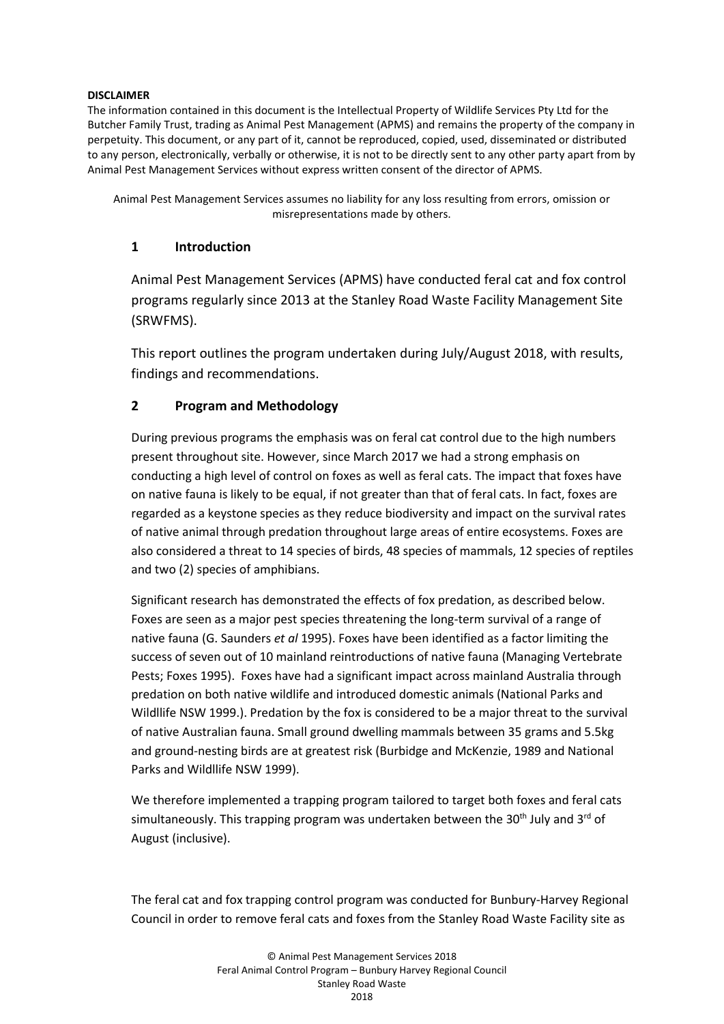#### **DISCLAIMER**

The information contained in this document is the Intellectual Property of Wildlife Services Pty Ltd for the Butcher Family Trust, trading as Animal Pest Management (APMS) and remains the property of the company in perpetuity. This document, or any part of it, cannot be reproduced, copied, used, disseminated or distributed to any person, electronically, verbally or otherwise, it is not to be directly sent to any other party apart from by Animal Pest Management Services without express written consent of the director of APMS.

Animal Pest Management Services assumes no liability for any loss resulting from errors, omission or misrepresentations made by others.

## **1 Introduction**

Animal Pest Management Services (APMS) have conducted feral cat and fox control programs regularly since 2013 at the Stanley Road Waste Facility Management Site (SRWFMS).

This report outlines the program undertaken during July/August 2018, with results, findings and recommendations.

# **2 Program and Methodology**

During previous programs the emphasis was on feral cat control due to the high numbers present throughout site. However, since March 2017 we had a strong emphasis on conducting a high level of control on foxes as well as feral cats. The impact that foxes have on native fauna is likely to be equal, if not greater than that of feral cats. In fact, foxes are regarded as a keystone species as they reduce biodiversity and impact on the survival rates of native animal through predation throughout large areas of entire ecosystems. Foxes are also considered a threat to 14 species of birds, 48 species of mammals, 12 species of reptiles and two (2) species of amphibians.

Significant research has demonstrated the effects of fox predation, as described below. Foxes are seen as a major pest species threatening the long-term survival of a range of native fauna (G. Saunders *et al* 1995). Foxes have been identified as a factor limiting the success of seven out of 10 mainland reintroductions of native fauna (Managing Vertebrate Pests; Foxes 1995). Foxes have had a significant impact across mainland Australia through predation on both native wildlife and introduced domestic animals (National Parks and Wildllife NSW 1999.). Predation by the fox is considered to be a major threat to the survival of native Australian fauna. Small ground dwelling mammals between 35 grams and 5.5kg and ground-nesting birds are at greatest risk (Burbidge and McKenzie, 1989 and National Parks and Wildllife NSW 1999).

We therefore implemented a trapping program tailored to target both foxes and feral cats simultaneously. This trapping program was undertaken between the 30<sup>th</sup> July and 3<sup>rd</sup> of August (inclusive).

The feral cat and fox trapping control program was conducted for Bunbury-Harvey Regional Council in order to remove feral cats and foxes from the Stanley Road Waste Facility site as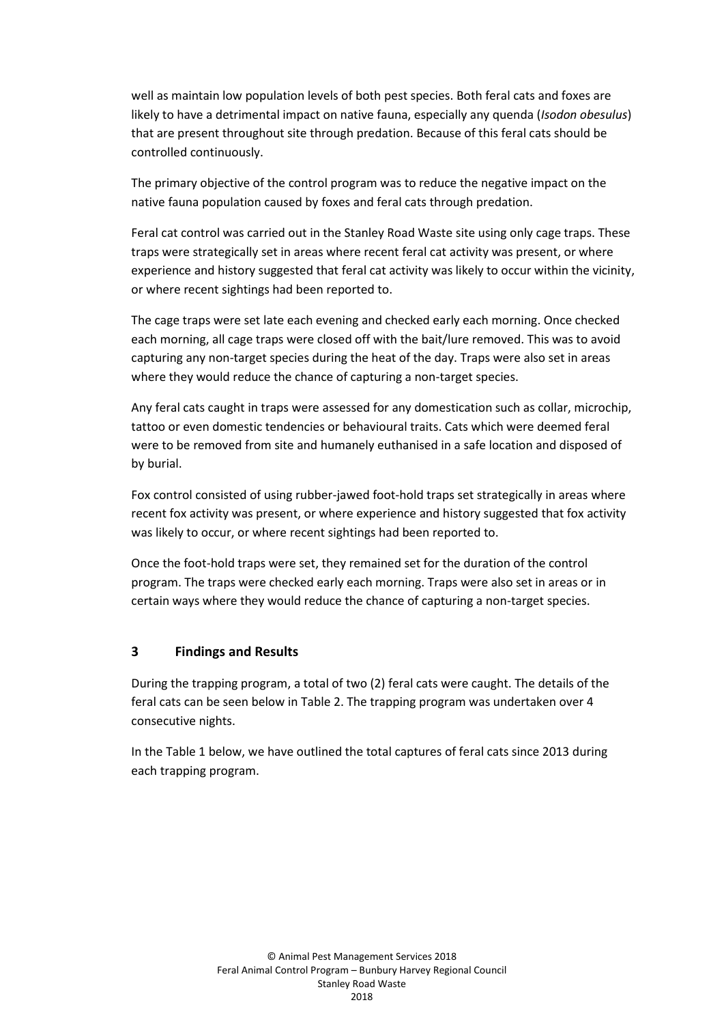well as maintain low population levels of both pest species. Both feral cats and foxes are likely to have a detrimental impact on native fauna, especially any quenda (*Isodon obesulus*) that are present throughout site through predation. Because of this feral cats should be controlled continuously.

The primary objective of the control program was to reduce the negative impact on the native fauna population caused by foxes and feral cats through predation.

Feral cat control was carried out in the Stanley Road Waste site using only cage traps. These traps were strategically set in areas where recent feral cat activity was present, or where experience and history suggested that feral cat activity was likely to occur within the vicinity, or where recent sightings had been reported to.

The cage traps were set late each evening and checked early each morning. Once checked each morning, all cage traps were closed off with the bait/lure removed. This was to avoid capturing any non-target species during the heat of the day. Traps were also set in areas where they would reduce the chance of capturing a non-target species.

Any feral cats caught in traps were assessed for any domestication such as collar, microchip, tattoo or even domestic tendencies or behavioural traits. Cats which were deemed feral were to be removed from site and humanely euthanised in a safe location and disposed of by burial.

Fox control consisted of using rubber-jawed foot-hold traps set strategically in areas where recent fox activity was present, or where experience and history suggested that fox activity was likely to occur, or where recent sightings had been reported to.

Once the foot-hold traps were set, they remained set for the duration of the control program. The traps were checked early each morning. Traps were also set in areas or in certain ways where they would reduce the chance of capturing a non-target species.

#### **3 Findings and Results**

During the trapping program, a total of two (2) feral cats were caught. The details of the feral cats can be seen below in Table 2. The trapping program was undertaken over 4 consecutive nights.

In the Table 1 below, we have outlined the total captures of feral cats since 2013 during each trapping program.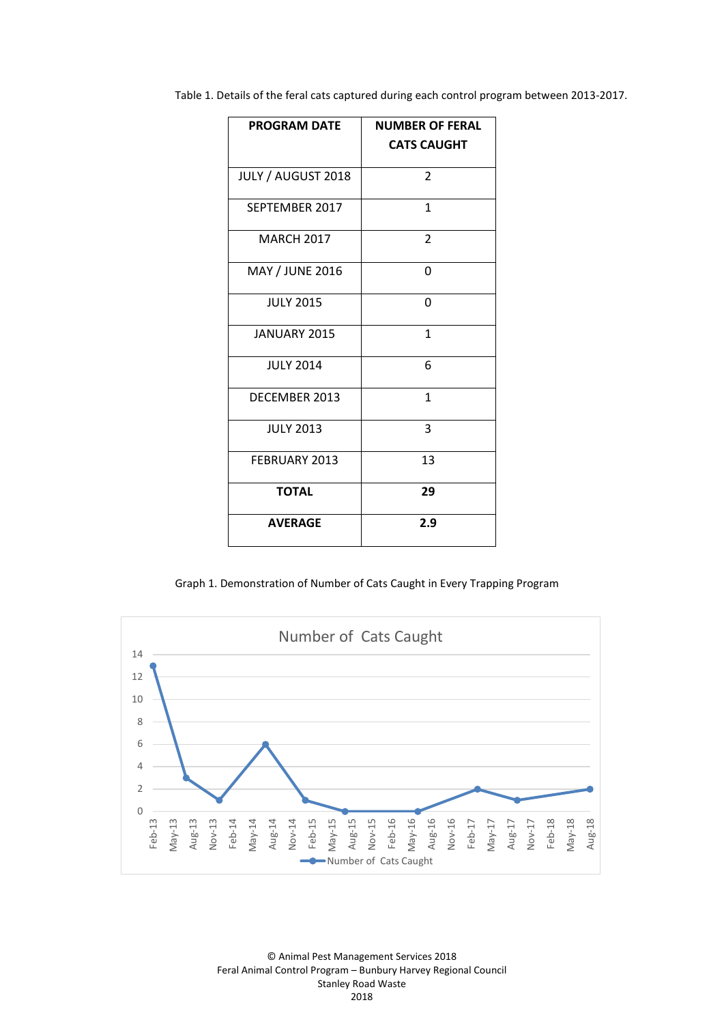Table 1. Details of the feral cats captured during each control program between 2013-2017.

| <b>PROGRAM DATE</b> | <b>NUMBER OF FERAL</b><br><b>CATS CAUGHT</b> |
|---------------------|----------------------------------------------|
| JULY / AUGUST 2018  | $\overline{\mathbf{c}}$                      |
| SEPTEMBER 2017      | 1                                            |
| <b>MARCH 2017</b>   | $\mathcal{P}$                                |
| MAY / JUNE 2016     | 0                                            |
| <b>JULY 2015</b>    | 0                                            |
| <b>JANUARY 2015</b> | $\mathbf{1}$                                 |
| <b>JULY 2014</b>    | 6                                            |
| DECEMBER 2013       | $\mathbf{1}$                                 |
| <b>JULY 2013</b>    | 3                                            |
| FEBRUARY 2013       | 13                                           |
| <b>TOTAL</b>        | 29                                           |
| <b>AVERAGE</b>      | 2.9                                          |

Graph 1. Demonstration of Number of Cats Caught in Every Trapping Program



© Animal Pest Management Services 2018 Feral Animal Control Program – Bunbury Harvey Regional Council Stanley Road Waste 2018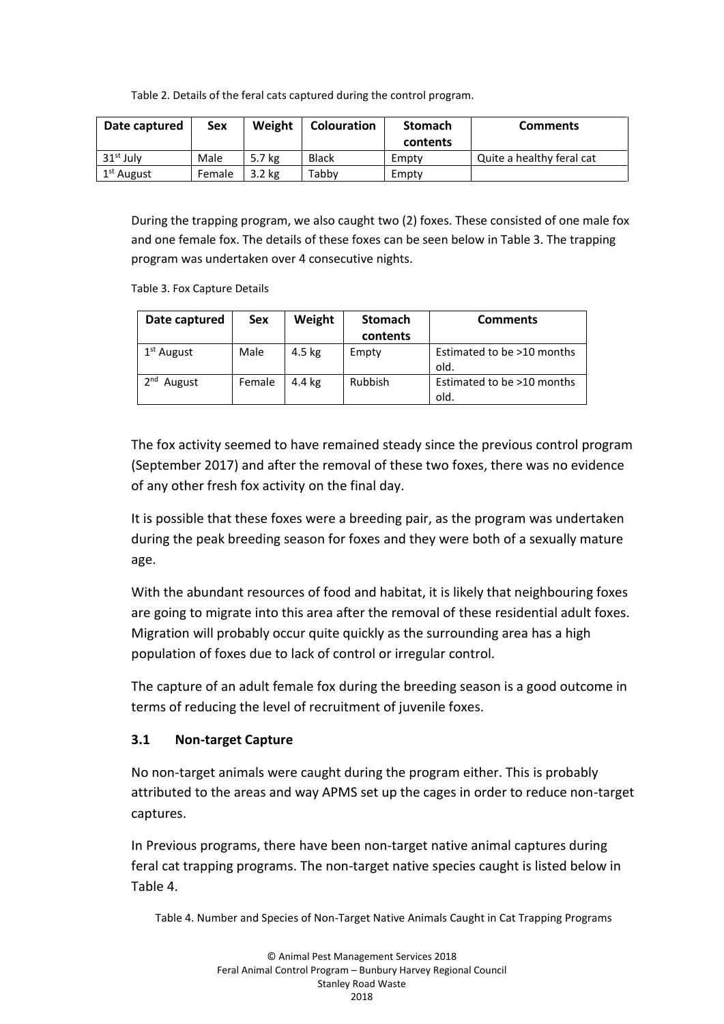Table 2. Details of the feral cats captured during the control program.

| Date captured          | Sex    | Weight   | <b>Colouration</b> | <b>Stomach</b> | <b>Comments</b>           |
|------------------------|--------|----------|--------------------|----------------|---------------------------|
|                        |        |          |                    | contents       |                           |
| $31st$ July            | Male   | 5.7 kg   | <b>Black</b>       | Empty          | Quite a healthy feral cat |
| 1 <sup>st</sup> August | Female | $3.2$ kg | Tabby              | Empty          |                           |

During the trapping program, we also caught two (2) foxes. These consisted of one male fox and one female fox. The details of these foxes can be seen below in Table 3. The trapping program was undertaken over 4 consecutive nights.

Table 3. Fox Capture Details

| Date captured             | Sex    | Weight | <b>Stomach</b><br>contents | <b>Comments</b>                    |
|---------------------------|--------|--------|----------------------------|------------------------------------|
| 1 <sup>st</sup> August    | Male   | 4.5 kg | Empty                      | Estimated to be >10 months<br>old. |
| 2 <sub>nd</sub><br>August | Female | 4.4 kg | Rubbish                    | Estimated to be >10 months<br>old. |

The fox activity seemed to have remained steady since the previous control program (September 2017) and after the removal of these two foxes, there was no evidence of any other fresh fox activity on the final day.

It is possible that these foxes were a breeding pair, as the program was undertaken during the peak breeding season for foxes and they were both of a sexually mature age.

With the abundant resources of food and habitat, it is likely that neighbouring foxes are going to migrate into this area after the removal of these residential adult foxes. Migration will probably occur quite quickly as the surrounding area has a high population of foxes due to lack of control or irregular control.

The capture of an adult female fox during the breeding season is a good outcome in terms of reducing the level of recruitment of juvenile foxes.

# **3.1 Non-target Capture**

No non-target animals were caught during the program either. This is probably attributed to the areas and way APMS set up the cages in order to reduce non-target captures.

In Previous programs, there have been non-target native animal captures during feral cat trapping programs. The non-target native species caught is listed below in Table 4.

Table 4. Number and Species of Non-Target Native Animals Caught in Cat Trapping Programs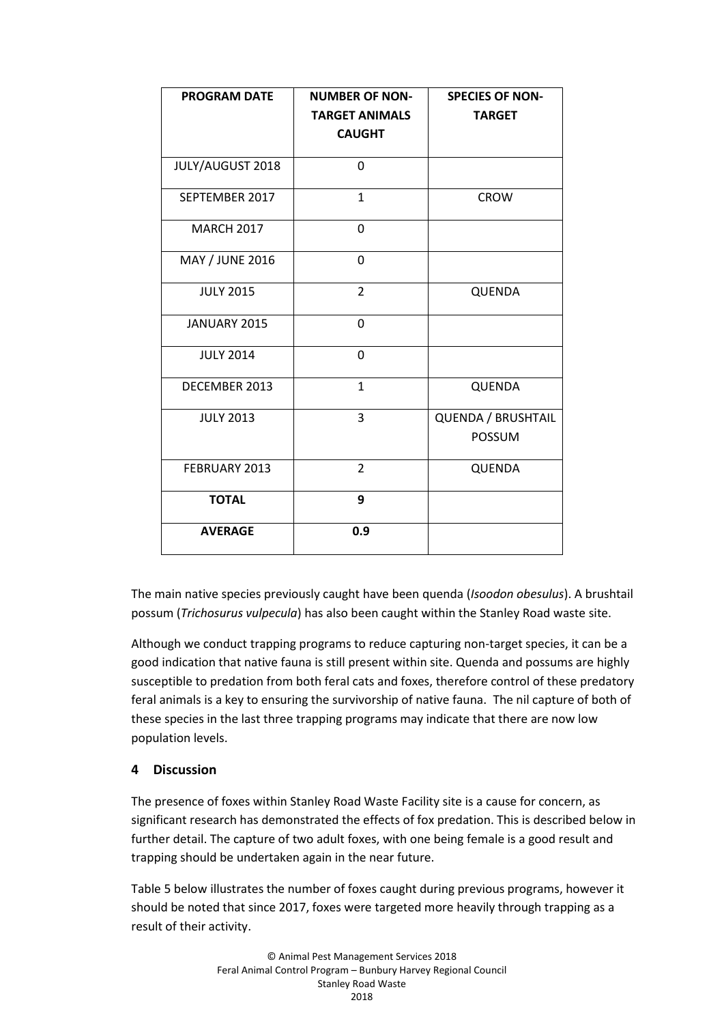| <b>PROGRAM DATE</b> | <b>NUMBER OF NON-</b> | <b>SPECIES OF NON-</b>              |
|---------------------|-----------------------|-------------------------------------|
|                     | <b>TARGET ANIMALS</b> | <b>TARGET</b>                       |
|                     | <b>CAUGHT</b>         |                                     |
| JULY/AUGUST 2018    | 0                     |                                     |
| SEPTEMBER 2017      | $\mathbf{1}$          | <b>CROW</b>                         |
| <b>MARCH 2017</b>   | 0                     |                                     |
| MAY / JUNE 2016     | $\Omega$              |                                     |
| <b>JULY 2015</b>    | $\overline{2}$        | QUENDA                              |
| JANUARY 2015        | $\Omega$              |                                     |
| <b>JULY 2014</b>    | $\Omega$              |                                     |
| DECEMBER 2013       | $\mathbf{1}$          | QUENDA                              |
| <b>JULY 2013</b>    | 3                     | QUENDA / BRUSHTAIL<br><b>POSSUM</b> |
| FEBRUARY 2013       | $\overline{2}$        | QUENDA                              |
| <b>TOTAL</b>        | 9                     |                                     |
| <b>AVERAGE</b>      | 0.9                   |                                     |

The main native species previously caught have been quenda (*Isoodon obesulus*). A brushtail possum (*Trichosurus vulpecula*) has also been caught within the Stanley Road waste site.

Although we conduct trapping programs to reduce capturing non-target species, it can be a good indication that native fauna is still present within site. Quenda and possums are highly susceptible to predation from both feral cats and foxes, therefore control of these predatory feral animals is a key to ensuring the survivorship of native fauna. The nil capture of both of these species in the last three trapping programs may indicate that there are now low population levels.

# **4 Discussion**

The presence of foxes within Stanley Road Waste Facility site is a cause for concern, as significant research has demonstrated the effects of fox predation. This is described below in further detail. The capture of two adult foxes, with one being female is a good result and trapping should be undertaken again in the near future.

Table 5 below illustrates the number of foxes caught during previous programs, however it should be noted that since 2017, foxes were targeted more heavily through trapping as a result of their activity.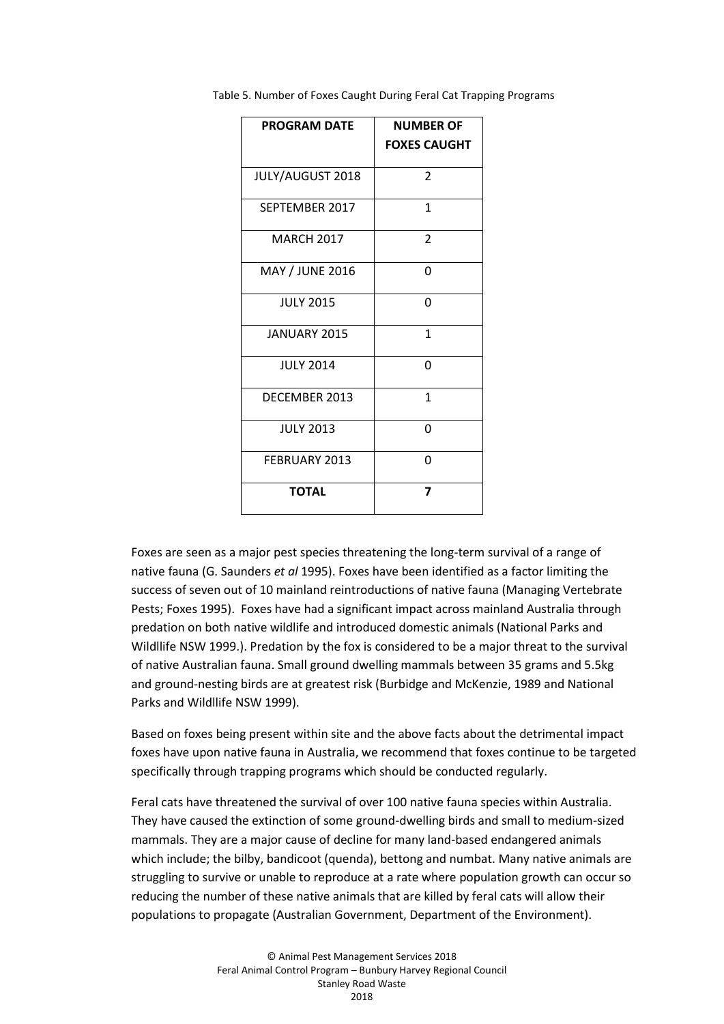| <b>PROGRAM DATE</b>     | <b>NUMBER OF</b>    |
|-------------------------|---------------------|
|                         | <b>FOXES CAUGHT</b> |
| <b>JULY/AUGUST 2018</b> | $\overline{2}$      |
| SEPTEMBER 2017          | $\mathbf{1}$        |
| <b>MARCH 2017</b>       | 2                   |
| MAY / JUNE 2016         | 0                   |
| <b>JULY 2015</b>        | 0                   |
| JANUARY 2015            | $\mathbf{1}$        |
| <b>JULY 2014</b>        | 0                   |
| DECEMBER 2013           | $\mathbf{1}$        |
| <b>JULY 2013</b>        | 0                   |
| FEBRUARY 2013           | 0                   |
| <b>TOTAL</b>            | 7                   |

Table 5. Number of Foxes Caught During Feral Cat Trapping Programs

Foxes are seen as a major pest species threatening the long-term survival of a range of native fauna (G. Saunders *et al* 1995). Foxes have been identified as a factor limiting the success of seven out of 10 mainland reintroductions of native fauna (Managing Vertebrate Pests; Foxes 1995). Foxes have had a significant impact across mainland Australia through predation on both native wildlife and introduced domestic animals (National Parks and Wildllife NSW 1999.). Predation by the fox is considered to be a major threat to the survival of native Australian fauna. Small ground dwelling mammals between 35 grams and 5.5kg and ground-nesting birds are at greatest risk (Burbidge and McKenzie, 1989 and National Parks and Wildllife NSW 1999).

Based on foxes being present within site and the above facts about the detrimental impact foxes have upon native fauna in Australia, we recommend that foxes continue to be targeted specifically through trapping programs which should be conducted regularly.

Feral cats have threatened the survival of over 100 native fauna species within Australia. They have caused the extinction of some ground-dwelling birds and small to medium-sized mammals. They are a major cause of decline for many land-based endangered animals which include; the bilby, bandicoot (quenda), bettong and numbat. Many native animals are struggling to survive or unable to reproduce at a rate where population growth can occur so reducing the number of these native animals that are killed by feral cats will allow their populations to propagate (Australian Government, Department of the Environment).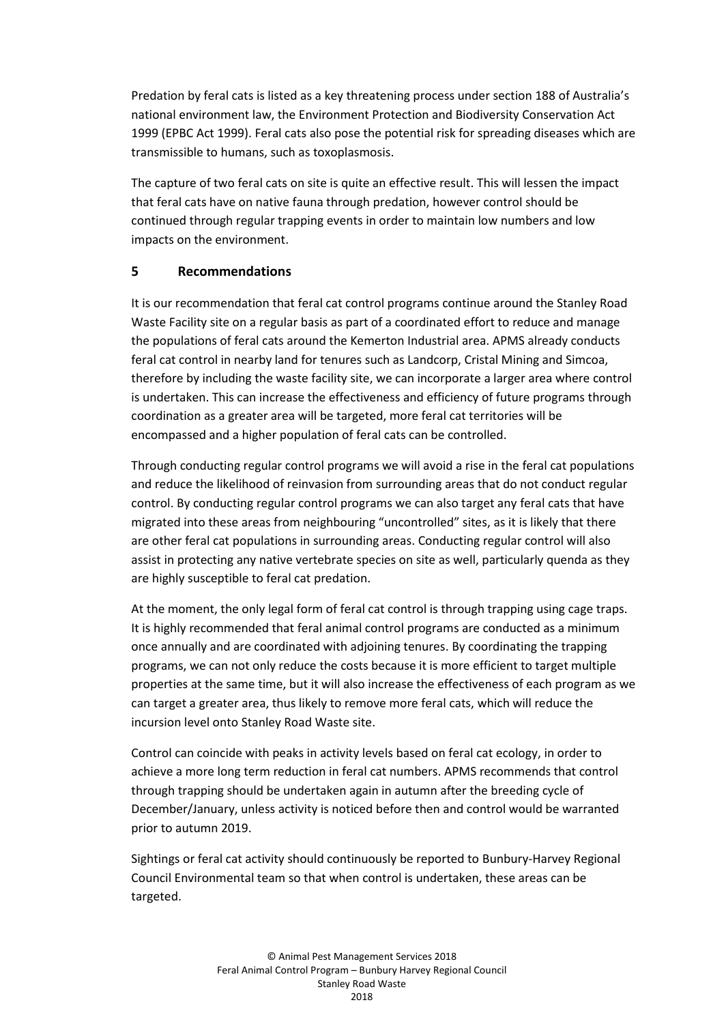Predation by feral cats is listed as a key threatening process under section 188 of Australia's national environment law, the Environment Protection and Biodiversity Conservation Act 1999 (EPBC Act 1999). Feral cats also pose the potential risk for spreading diseases which are transmissible to humans, such as toxoplasmosis.

The capture of two feral cats on site is quite an effective result. This will lessen the impact that feral cats have on native fauna through predation, however control should be continued through regular trapping events in order to maintain low numbers and low impacts on the environment.

# **5 Recommendations**

It is our recommendation that feral cat control programs continue around the Stanley Road Waste Facility site on a regular basis as part of a coordinated effort to reduce and manage the populations of feral cats around the Kemerton Industrial area. APMS already conducts feral cat control in nearby land for tenures such as Landcorp, Cristal Mining and Simcoa, therefore by including the waste facility site, we can incorporate a larger area where control is undertaken. This can increase the effectiveness and efficiency of future programs through coordination as a greater area will be targeted, more feral cat territories will be encompassed and a higher population of feral cats can be controlled.

Through conducting regular control programs we will avoid a rise in the feral cat populations and reduce the likelihood of reinvasion from surrounding areas that do not conduct regular control. By conducting regular control programs we can also target any feral cats that have migrated into these areas from neighbouring "uncontrolled" sites, as it is likely that there are other feral cat populations in surrounding areas. Conducting regular control will also assist in protecting any native vertebrate species on site as well, particularly quenda as they are highly susceptible to feral cat predation.

At the moment, the only legal form of feral cat control is through trapping using cage traps. It is highly recommended that feral animal control programs are conducted as a minimum once annually and are coordinated with adjoining tenures. By coordinating the trapping programs, we can not only reduce the costs because it is more efficient to target multiple properties at the same time, but it will also increase the effectiveness of each program as we can target a greater area, thus likely to remove more feral cats, which will reduce the incursion level onto Stanley Road Waste site.

Control can coincide with peaks in activity levels based on feral cat ecology, in order to achieve a more long term reduction in feral cat numbers. APMS recommends that control through trapping should be undertaken again in autumn after the breeding cycle of December/January, unless activity is noticed before then and control would be warranted prior to autumn 2019.

Sightings or feral cat activity should continuously be reported to Bunbury-Harvey Regional Council Environmental team so that when control is undertaken, these areas can be targeted.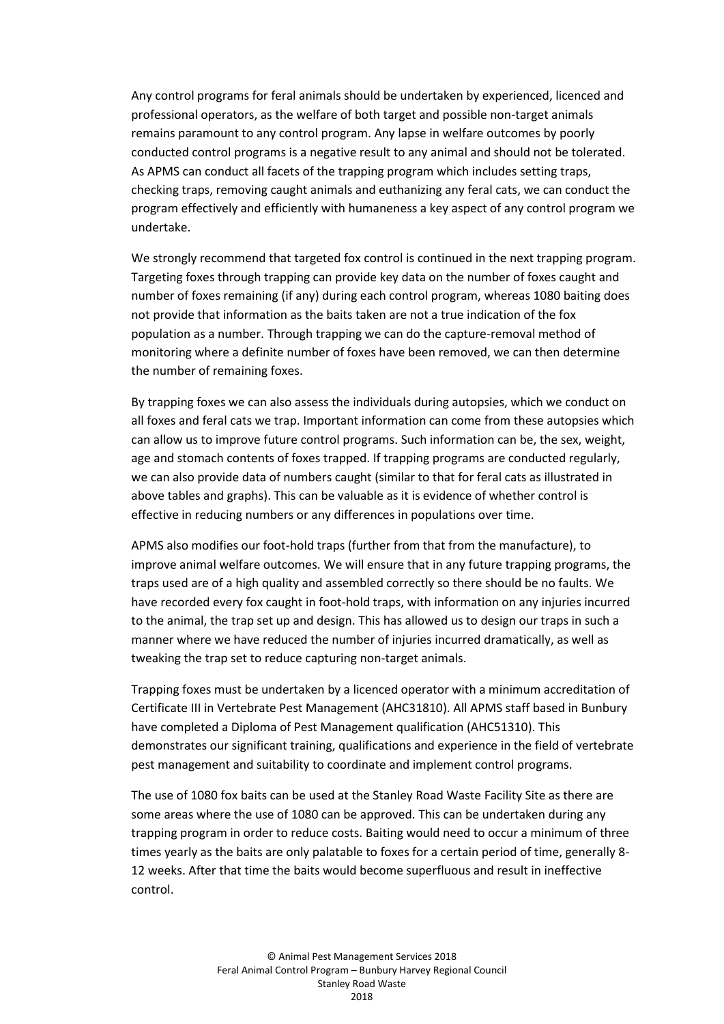Any control programs for feral animals should be undertaken by experienced, licenced and professional operators, as the welfare of both target and possible non-target animals remains paramount to any control program. Any lapse in welfare outcomes by poorly conducted control programs is a negative result to any animal and should not be tolerated. As APMS can conduct all facets of the trapping program which includes setting traps, checking traps, removing caught animals and euthanizing any feral cats, we can conduct the program effectively and efficiently with humaneness a key aspect of any control program we undertake.

We strongly recommend that targeted fox control is continued in the next trapping program. Targeting foxes through trapping can provide key data on the number of foxes caught and number of foxes remaining (if any) during each control program, whereas 1080 baiting does not provide that information as the baits taken are not a true indication of the fox population as a number. Through trapping we can do the capture-removal method of monitoring where a definite number of foxes have been removed, we can then determine the number of remaining foxes.

By trapping foxes we can also assess the individuals during autopsies, which we conduct on all foxes and feral cats we trap. Important information can come from these autopsies which can allow us to improve future control programs. Such information can be, the sex, weight, age and stomach contents of foxes trapped. If trapping programs are conducted regularly, we can also provide data of numbers caught (similar to that for feral cats as illustrated in above tables and graphs). This can be valuable as it is evidence of whether control is effective in reducing numbers or any differences in populations over time.

APMS also modifies our foot-hold traps (further from that from the manufacture), to improve animal welfare outcomes. We will ensure that in any future trapping programs, the traps used are of a high quality and assembled correctly so there should be no faults. We have recorded every fox caught in foot-hold traps, with information on any injuries incurred to the animal, the trap set up and design. This has allowed us to design our traps in such a manner where we have reduced the number of injuries incurred dramatically, as well as tweaking the trap set to reduce capturing non-target animals.

Trapping foxes must be undertaken by a licenced operator with a minimum accreditation of Certificate III in Vertebrate Pest Management (AHC31810). All APMS staff based in Bunbury have completed a Diploma of Pest Management qualification (AHC51310). This demonstrates our significant training, qualifications and experience in the field of vertebrate pest management and suitability to coordinate and implement control programs.

The use of 1080 fox baits can be used at the Stanley Road Waste Facility Site as there are some areas where the use of 1080 can be approved. This can be undertaken during any trapping program in order to reduce costs. Baiting would need to occur a minimum of three times yearly as the baits are only palatable to foxes for a certain period of time, generally 8- 12 weeks. After that time the baits would become superfluous and result in ineffective control.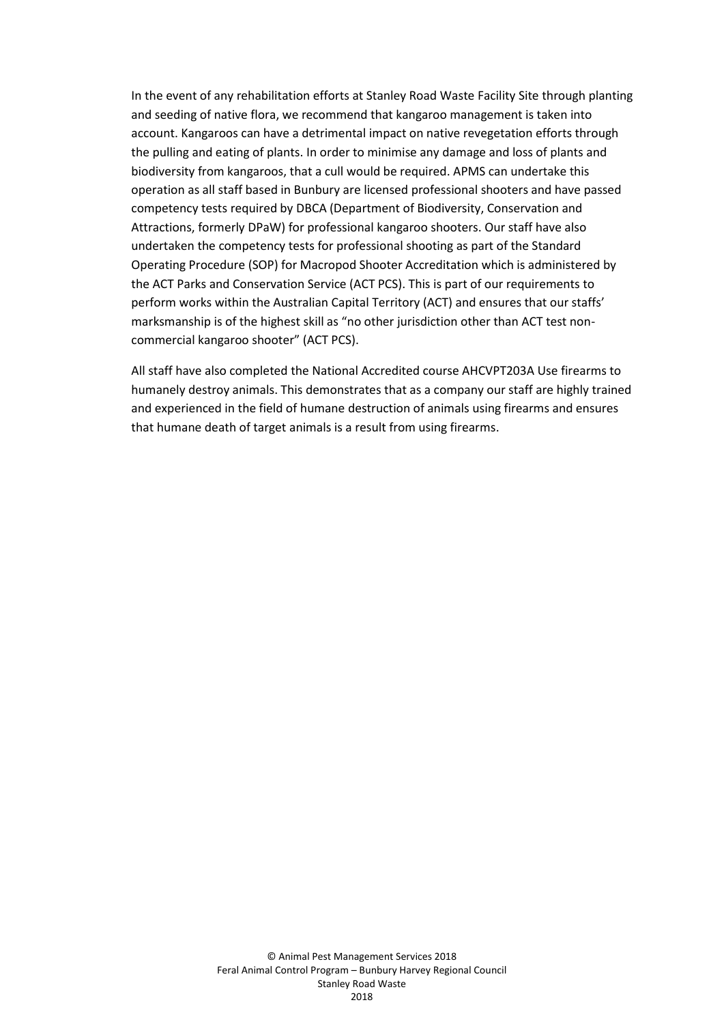In the event of any rehabilitation efforts at Stanley Road Waste Facility Site through planting and seeding of native flora, we recommend that kangaroo management is taken into account. Kangaroos can have a detrimental impact on native revegetation efforts through the pulling and eating of plants. In order to minimise any damage and loss of plants and biodiversity from kangaroos, that a cull would be required. APMS can undertake this operation as all staff based in Bunbury are licensed professional shooters and have passed competency tests required by DBCA (Department of Biodiversity, Conservation and Attractions, formerly DPaW) for professional kangaroo shooters. Our staff have also undertaken the competency tests for professional shooting as part of the Standard Operating Procedure (SOP) for Macropod Shooter Accreditation which is administered by the ACT Parks and Conservation Service (ACT PCS). This is part of our requirements to perform works within the Australian Capital Territory (ACT) and ensures that our staffs' marksmanship is of the highest skill as "no other jurisdiction other than ACT test noncommercial kangaroo shooter" (ACT PCS).

All staff have also completed the National Accredited course AHCVPT203A Use firearms to humanely destroy animals. This demonstrates that as a company our staff are highly trained and experienced in the field of humane destruction of animals using firearms and ensures that humane death of target animals is a result from using firearms.